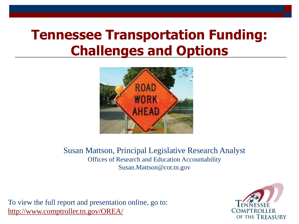#### **Tennessee Transportation Funding: Challenges and Options**



Susan Mattson, Principal Legislative Research Analyst Offices of Research and Education Accountability Susan.Mattson@cot.tn.gov

To view the full report and presentation online, go to: <http://www.comptroller.tn.gov/OREA/>

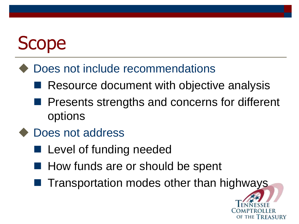# Scope

#### Does not include recommendations

- Resource document with objective analysis
- **Presents strengths and concerns for different** options
- Does not address
	- **Level of funding needed**
	- How funds are or should be spent
	- Transportation modes other than highways

of the Treasury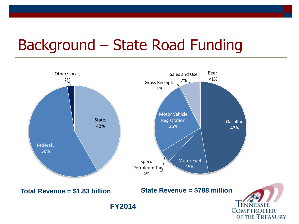### Background – State Road Funding

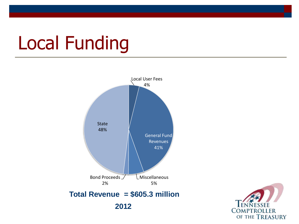## Local Funding



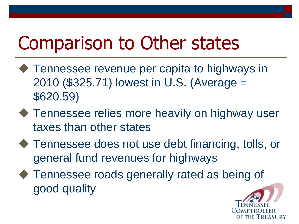## Comparison to Other states

- ◆ Tennessee revenue per capita to highways in 2010 (\$325.71) lowest in U.S. (Average = \$620.59)
- ◆ Tennessee relies more heavily on highway user taxes than other states
- ◆ Tennessee does not use debt financing, tolls, or general fund revenues for highways
- ◆ Tennessee roads generally rated as being of good quality

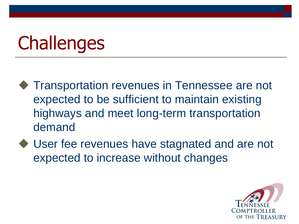# **Challenges**

- ◆ Transportation revenues in Tennessee are not expected to be sufficient to maintain existing highways and meet long-term transportation demand
- ◆ User fee revenues have stagnated and are not expected to increase without changes

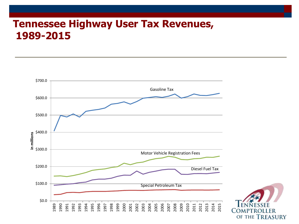#### **Tennessee Highway User Tax Revenues, 1989-2015**



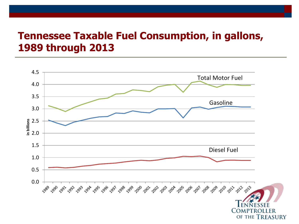#### **Tennessee Taxable Fuel Consumption, in gallons, 1989 through 2013**

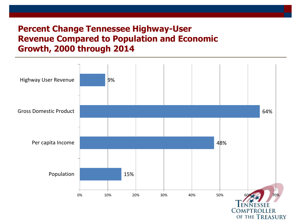#### **Percent Change Tennessee Highway-User Revenue Compared to Population and Economic Growth, 2000 through 2014**

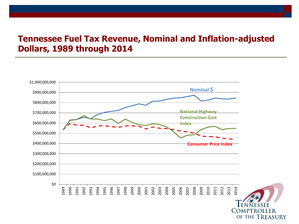#### **Tennessee Fuel Tax Revenue, Nominal and Inflation-adjusted Dollars, 1989 through 2014**

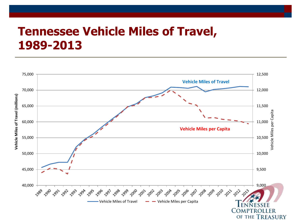#### **Tennessee Vehicle Miles of Travel, 1989-2013**

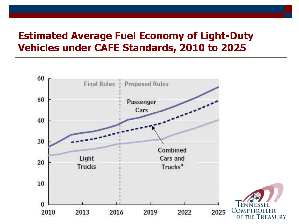#### **Estimated Average Fuel Economy of Light-Duty Vehicles under CAFE Standards, 2010 to 2025**



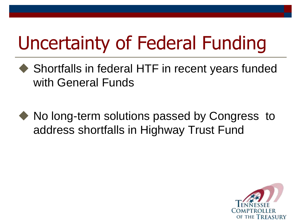# Uncertainty of Federal Funding

- Shortfalls in federal HTF in recent years funded with General Funds
- No long-term solutions passed by Congress to address shortfalls in Highway Trust Fund

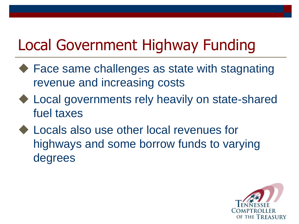### Local Government Highway Funding

- ◆ Face same challenges as state with stagnating revenue and increasing costs
- ◆ Local governments rely heavily on state-shared fuel taxes
- ◆ Locals also use other local revenues for highways and some borrow funds to varying degrees

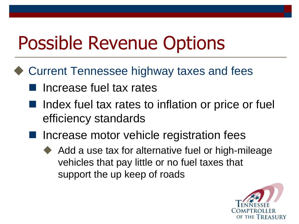## Possible Revenue Options

- ◆ Current Tennessee highway taxes and fees
	- **I** Increase fuel tax rates
	- $\blacksquare$  Index fuel tax rates to inflation or price or fuel efficiency standards
	- Increase motor vehicle registration fees
		- Add a use tax for alternative fuel or high-mileage vehicles that pay little or no fuel taxes that support the up keep of roads

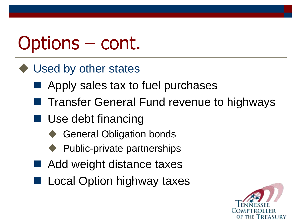## Options – cont.

- ◆ Used by other states
	- Apply sales tax to fuel purchases
	- Transfer General Fund revenue to highways
	- Use debt financing
		- General Obligation bonds
		- Public-private partnerships
	- Add weight distance taxes
	- Local Option highway taxes

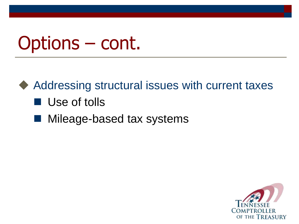## Options – cont.

◆ Addressing structural issues with current taxes

#### **Use of tolls**

Mileage-based tax systems

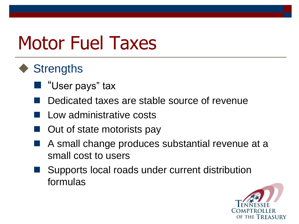## Motor Fuel Taxes

#### ◆ Strengths

- "User pays" tax
- Dedicated taxes are stable source of revenue
- Low administrative costs
- Out of state motorists pay
- A small change produces substantial revenue at a small cost to users
- Supports local roads under current distribution formulas

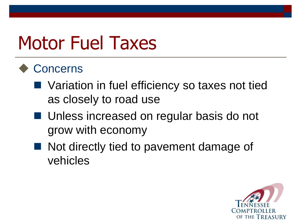## Motor Fuel Taxes

#### **Concerns**

- Variation in fuel efficiency so taxes not tied as closely to road use
- Unless increased on regular basis do not grow with economy
- Not directly tied to pavement damage of vehicles

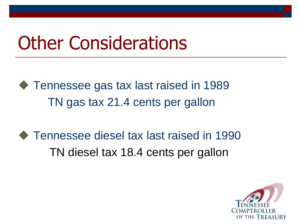### Other Considerations

◆ Tennessee gas tax last raised in 1989 TN gas tax 21.4 cents per gallon

◆ Tennessee diesel tax last raised in 1990 TN diesel tax 18.4 cents per gallon

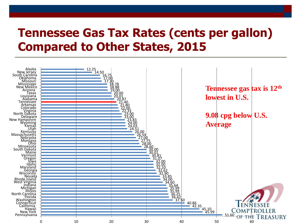#### **Tennessee Gas Tax Rates (cents per gallon) Compared to Other States, 2015**

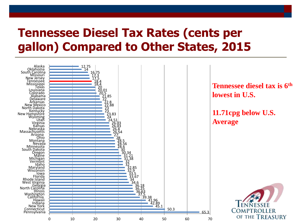#### **Tennessee Diesel Tax Rates (cents per gallon) Compared to Other States, 2015**



**Tennessee diesel tax is 6th lowest in U.S.**

**11.71cpg below U.S. Average**

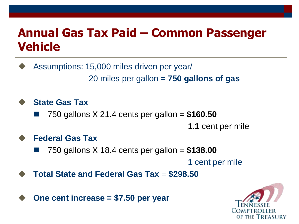#### **Annual Gas Tax Paid – Common Passenger Vehicle**

 Assumptions: 15,000 miles driven per year/ 20 miles per gallon = **750 gallons of gas**

**State Gas Tax**

750 gallons X 21.4 cents per gallon = **\$160.50**

**1.1** cent per mile

#### **Federal Gas Tax**

750 gallons X 18.4 cents per gallon = **\$138.00**

**1** cent per mile

**Total State and Federal Gas Tax** = **\$298.50**



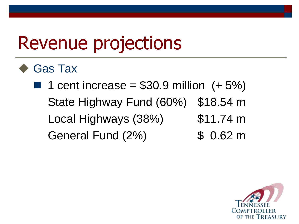### Revenue projections

Gas Tax

1 cent increase =  $$30.9$  million  $(+ 5\%)$ State Highway Fund (60%) \$18.54 m Local Highways (38%) \$11.74 m General Fund (2%) \$ 0.62 m

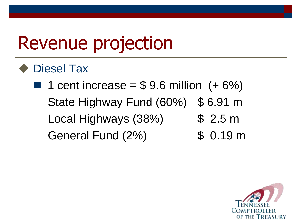## Revenue projection

Diesel Tax

**1** cent increase =  $$9.6$  million  $(+ 6%)$ State Highway Fund (60%) \$ 6.91 m Local Highways (38%) \$ 2.5 m General Fund (2%) \$ 0.19 m

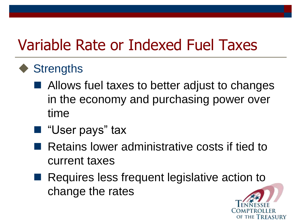### Variable Rate or Indexed Fuel Taxes

- ◆ Strengths
	- Allows fuel taxes to better adjust to changes in the economy and purchasing power over time
	- "User pays" tax
	- **Retains lower administrative costs if tied to** current taxes
	- Requires less frequent legislative action to change the rates

of the Trfasury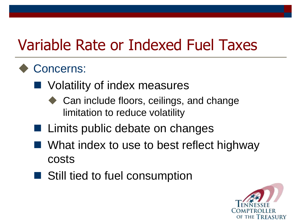### Variable Rate or Indexed Fuel Taxes

#### Concerns:

- Volatility of index measures
	- Can include floors, ceilings, and change limitation to reduce volatility
- $\blacksquare$  Limits public debate on changes
- What index to use to best reflect highway costs
- Still tied to fuel consumption

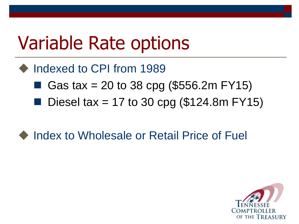### Variable Rate options

- Indexed to CPI from 1989
	- Gas tax = 20 to 38 cpg (\$556.2m FY15)
	- Diesel tax = 17 to 30 cpg  $(\$124.8m$  FY15)
- Index to Wholesale or Retail Price of Fuel

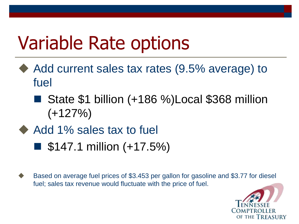## Variable Rate options

- ◆ Add current sales tax rates (9.5% average) to fuel
	- State \$1 billion (+186 %)Local \$368 million  $(+127%)$
- Add 1% sales tax to fuel
	- $\blacksquare$  \$147.1 million (+17.5%)
- Based on average fuel prices of \$3.453 per gallon for gasoline and \$3.77 for diesel fuel; sales tax revenue would fluctuate with the price of fuel.

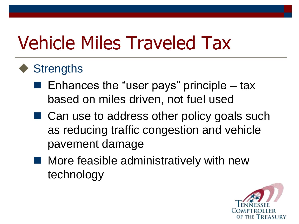# Vehicle Miles Traveled Tax

#### ◆ Strengths

- Enhances the "user pays" principle tax based on miles driven, not fuel used
- Can use to address other policy goals such as reducing traffic congestion and vehicle pavement damage
- More feasible administratively with new technology

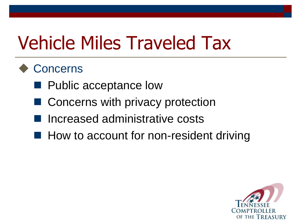## Vehicle Miles Traveled Tax

#### **Concerns**

- **Public acceptance low**
- Concerns with privacy protection
- **Increased administrative costs**
- $\blacksquare$  How to account for non-resident driving

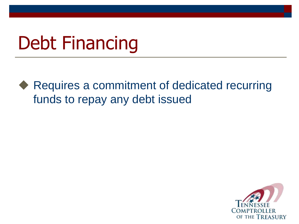### Debt Financing

◆ Requires a commitment of dedicated recurring funds to repay any debt issued